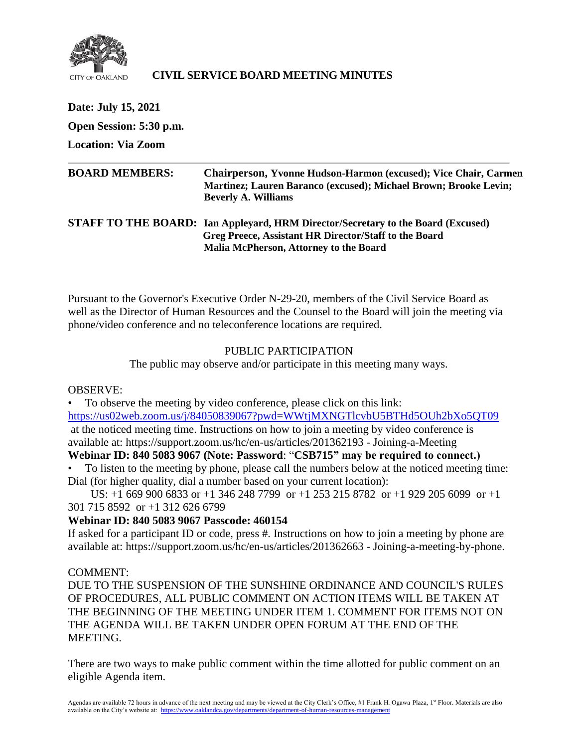

## **CIVIL SERVICE BOARD MEETING MINUTES**

**Date: July 15, 2021 Open Session: 5:30 p.m. Location: Via Zoom BOARD MEMBERS: Chairperson, Yvonne Hudson-Harmon (excused); Vice Chair, Carmen Martinez; Lauren Baranco (excused); Michael Brown; Brooke Levin; Beverly A. Williams STAFF TO THE BOARD: Ian Appleyard, HRM Director/Secretary to the Board (Excused) Greg Preece, Assistant HR Director/Staff to the Board**

**Malia McPherson, Attorney to the Board**

Pursuant to the Governor's Executive Order N-29-20, members of the Civil Service Board as well as the Director of Human Resources and the Counsel to the Board will join the meeting via phone/video conference and no teleconference locations are required.

## PUBLIC PARTICIPATION

The public may observe and/or participate in this meeting many ways.

OBSERVE:

• To observe the meeting by video conference, please click on this link: <https://us02web.zoom.us/j/84050839067?pwd=WWtjMXNGTlcvbU5BTHd5OUh2bXo5QT09> at the noticed meeting time. Instructions on how to join a meeting by video conference is available at: https://support.zoom.us/hc/en-us/articles/201362193 - Joining-a-Meeting

# **Webinar ID: 840 5083 9067 (Note: Password**: "**CSB715" may be required to connect.)**

• To listen to the meeting by phone, please call the numbers below at the noticed meeting time: Dial (for higher quality, dial a number based on your current location):

 US: +1 669 900 6833 or +1 346 248 7799 or +1 253 215 8782 or +1 929 205 6099 or +1 301 715 8592 or +1 312 626 6799

## **Webinar ID: 840 5083 9067 Passcode: 460154**

If asked for a participant ID or code, press #. Instructions on how to join a meeting by phone are available at: https://support.zoom.us/hc/en-us/articles/201362663 - Joining-a-meeting-by-phone.

#### COMMENT:

DUE TO THE SUSPENSION OF THE SUNSHINE ORDINANCE AND COUNCIL'S RULES OF PROCEDURES, ALL PUBLIC COMMENT ON ACTION ITEMS WILL BE TAKEN AT THE BEGINNING OF THE MEETING UNDER ITEM 1. COMMENT FOR ITEMS NOT ON THE AGENDA WILL BE TAKEN UNDER OPEN FORUM AT THE END OF THE MEETING.

There are two ways to make public comment within the time allotted for public comment on an eligible Agenda item.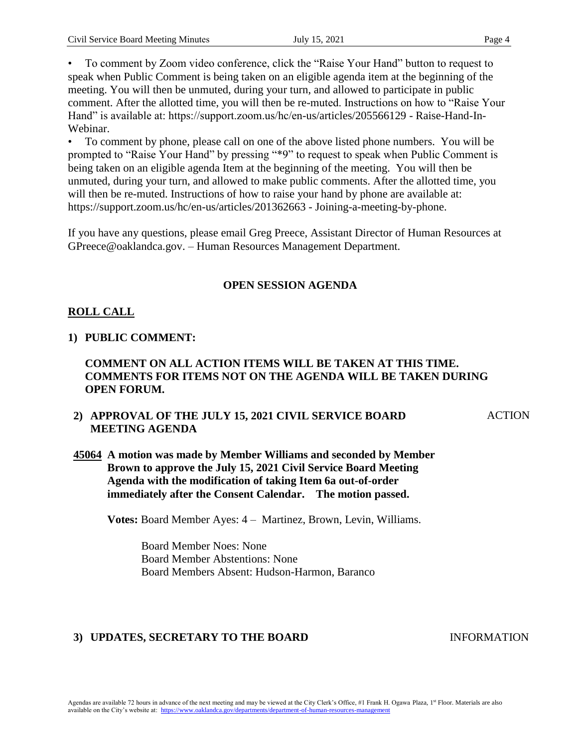• To comment by Zoom video conference, click the "Raise Your Hand" button to request to speak when Public Comment is being taken on an eligible agenda item at the beginning of the meeting. You will then be unmuted, during your turn, and allowed to participate in public comment. After the allotted time, you will then be re-muted. Instructions on how to "Raise Your Hand" is available at: https://support.zoom.us/hc/en-us/articles/205566129 - Raise-Hand-In-Webinar.

• To comment by phone, please call on one of the above listed phone numbers. You will be prompted to "Raise Your Hand" by pressing "\*9" to request to speak when Public Comment is being taken on an eligible agenda Item at the beginning of the meeting. You will then be unmuted, during your turn, and allowed to make public comments. After the allotted time, you will then be re-muted. Instructions of how to raise your hand by phone are available at: https://support.zoom.us/hc/en-us/articles/201362663 - Joining-a-meeting-by-phone.

If you have any questions, please email Greg Preece, Assistant Director of Human Resources at GPreece@oaklandca.gov. – Human Resources Management Department.

#### **OPEN SESSION AGENDA**

# **ROLL CALL**

## **1) PUBLIC COMMENT:**

#### **COMMENT ON ALL ACTION ITEMS WILL BE TAKEN AT THIS TIME. COMMENTS FOR ITEMS NOT ON THE AGENDA WILL BE TAKEN DURING OPEN FORUM.**

## **2) APPROVAL OF THE JULY 15, 2021 CIVIL SERVICE BOARD MEETING AGENDA**

**ACTION** 

**45064 A motion was made by Member Williams and seconded by Member Brown to approve the July 15, 2021 Civil Service Board Meeting Agenda with the modification of taking Item 6a out-of-order immediately after the Consent Calendar. The motion passed.** 

**Votes:** Board Member Ayes: 4 – Martinez, Brown, Levin, Williams.

Board Member Noes: None Board Member Abstentions: None Board Members Absent: Hudson-Harmon, Baranco

## **3) UPDATES, SECRETARY TO THE BOARD INFORMATION**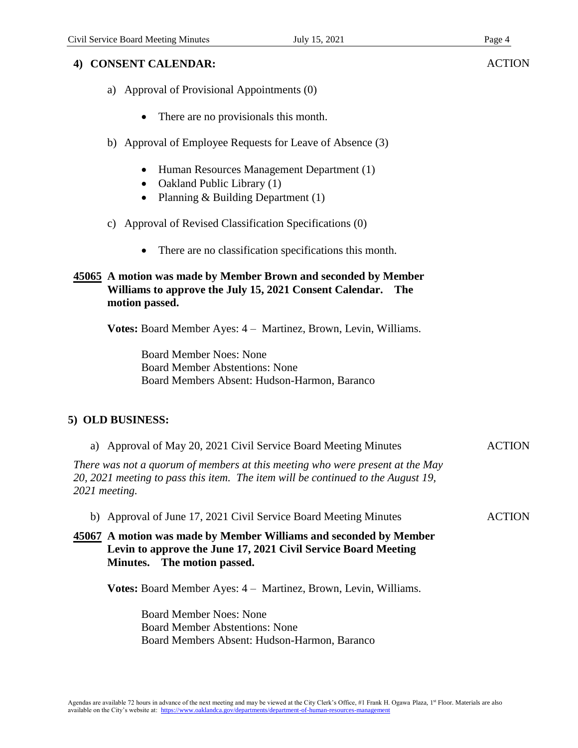## **4) CONSENT CALENDAR:**

- a) Approval of Provisional Appointments (0)
	- There are no provisionals this month.
- b) Approval of Employee Requests for Leave of Absence (3)
	- Human Resources Management Department (1)
	- Oakland Public Library (1)
	- Planning & Building Department (1)
- c) Approval of Revised Classification Specifications (0)
	- There are no classification specifications this month.

#### **45065 A motion was made by Member Brown and seconded by Member Williams to approve the July 15, 2021 Consent Calendar. The motion passed.**

**Votes:** Board Member Ayes: 4 – Martinez, Brown, Levin, Williams.

Board Member Noes: None Board Member Abstentions: None Board Members Absent: Hudson-Harmon, Baranco

# **5) OLD BUSINESS:**

| a) Approval of May 20, 2021 Civil Service Board Meeting Minutes                                                                                                                    | <b>ACTION</b> |
|------------------------------------------------------------------------------------------------------------------------------------------------------------------------------------|---------------|
| There was not a quorum of members at this meeting who were present at the May<br>20, 2021 meeting to pass this item. The item will be continued to the August 19,<br>2021 meeting. |               |
| b) Approval of June 17, 2021 Civil Service Board Meeting Minutes                                                                                                                   | <b>ACTION</b> |
| 45067 A motion was made by Member Williams and seconded by Member<br>Levin to approve the June 17, 2021 Civil Service Board Meeting<br>The motion passed.<br><b>Minutes.</b>       |               |
| <b>Votes:</b> Board Member Ayes: 4 – Martinez, Brown, Levin, Williams.                                                                                                             |               |

Board Member Noes: None Board Member Abstentions: None Board Members Absent: Hudson-Harmon, Baranco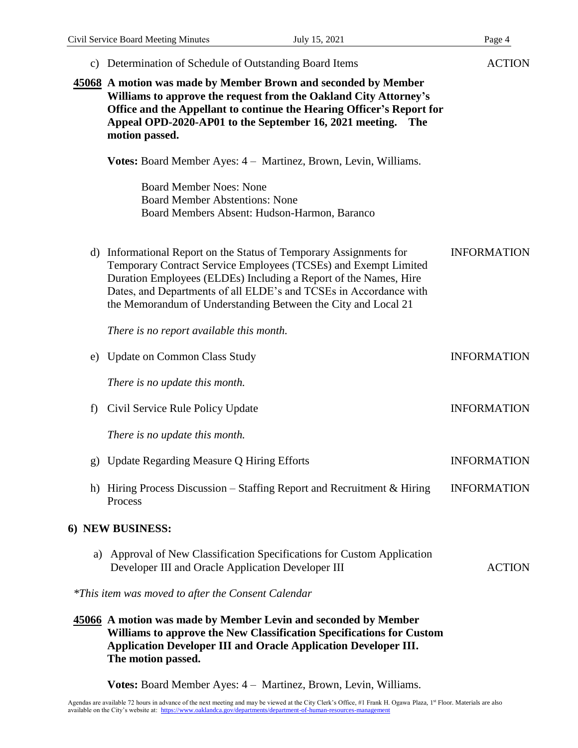|    | c) Determination of Schedule of Outstanding Board Items                                                                                                                                                                                                                                                                                         | <b>ACTION</b>      |
|----|-------------------------------------------------------------------------------------------------------------------------------------------------------------------------------------------------------------------------------------------------------------------------------------------------------------------------------------------------|--------------------|
|    | 45068 A motion was made by Member Brown and seconded by Member<br>Williams to approve the request from the Oakland City Attorney's<br>Office and the Appellant to continue the Hearing Officer's Report for<br>Appeal OPD-2020-AP01 to the September 16, 2021 meeting.<br><b>The</b><br>motion passed.                                          |                    |
|    | <b>Votes:</b> Board Member Ayes: 4 – Martinez, Brown, Levin, Williams.                                                                                                                                                                                                                                                                          |                    |
|    | <b>Board Member Noes: None</b><br><b>Board Member Abstentions: None</b><br>Board Members Absent: Hudson-Harmon, Baranco                                                                                                                                                                                                                         |                    |
|    | d) Informational Report on the Status of Temporary Assignments for<br>Temporary Contract Service Employees (TCSEs) and Exempt Limited<br>Duration Employees (ELDEs) Including a Report of the Names, Hire<br>Dates, and Departments of all ELDE's and TCSEs in Accordance with<br>the Memorandum of Understanding Between the City and Local 21 | <b>INFORMATION</b> |
|    | There is no report available this month.                                                                                                                                                                                                                                                                                                        |                    |
| e) | <b>Update on Common Class Study</b>                                                                                                                                                                                                                                                                                                             | <b>INFORMATION</b> |
|    | There is no update this month.                                                                                                                                                                                                                                                                                                                  |                    |
| f) | Civil Service Rule Policy Update                                                                                                                                                                                                                                                                                                                | <b>INFORMATION</b> |
|    | There is no update this month.                                                                                                                                                                                                                                                                                                                  |                    |
| g) | Update Regarding Measure Q Hiring Efforts                                                                                                                                                                                                                                                                                                       | <b>INFORMATION</b> |
| h) | Hiring Process Discussion – Staffing Report and Recruitment $\&$ Hiring<br>Process                                                                                                                                                                                                                                                              | <b>INFORMATION</b> |
|    | 6) NEW BUSINESS:                                                                                                                                                                                                                                                                                                                                |                    |
| a) | Approval of New Classification Specifications for Custom Application<br>Developer III and Oracle Application Developer III                                                                                                                                                                                                                      | <b>ACTION</b>      |
|    | *This item was moved to after the Consent Calendar                                                                                                                                                                                                                                                                                              |                    |
|    | 45066 A motion was made by Member Levin and seconded by Member<br>Williams to approve the New Classification Specifications for Custom<br>Application Developer III and Oracle Application Developer III.<br>The motion passed.                                                                                                                 |                    |

**Votes:** Board Member Ayes: 4 – Martinez, Brown, Levin, Williams.